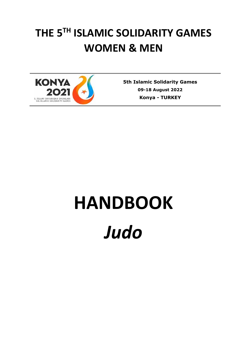# **THE 5 TH ISLAMIC SOLIDARITY GAMES WOMEN & MEN**



**5th Islamic Solidarity Games 09-18 August 2022 Konya** *-* **TURKEY**

# **HANDBOOK** *Judo*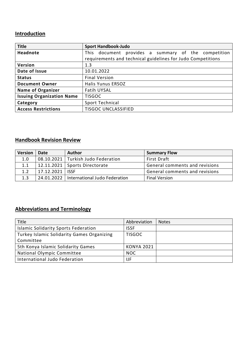## **Introduction**

| <b>Title</b>                     | <b>Sport Handbook-Judo</b>                                  |
|----------------------------------|-------------------------------------------------------------|
| <b>Headnote</b>                  | document provides a summary of the competition<br>This      |
|                                  | requirements and technical guidelines for Judo Competitions |
| Version                          | 1.3                                                         |
| Date of Issue                    | 10.01.2022                                                  |
| <b>Status</b>                    | <b>Final Version</b>                                        |
| <b>Document Owner</b>            | Halis Yunus ERSOZ                                           |
| <b>Name of Organizer</b>         | <b>Fatih UYSAL</b>                                          |
| <b>Issuing Organization Name</b> | <b>TISGOC</b>                                               |
| Category                         | Sport Technical                                             |
| <b>Access Restrictions</b>       | <b>TISGOC UNCLASSIFIED</b>                                  |

## **Handbook Revision Review**

| <b>Version</b> | Date              | <b>Author</b>                              | <b>Summary Flow</b>            |
|----------------|-------------------|--------------------------------------------|--------------------------------|
| 1.0            |                   | 08.10.2021 Turkish Judo Federation         | First Draft                    |
| 1.1            |                   | 12.11.2021   Sports Directorate            | General comments and revisions |
| 1.2            | 17.12.2021   ISSF |                                            | General comments and revisions |
| 1.3            |                   | 24.01.2022   International Judo Federation | <b>Final Version</b>           |

# **Abbreviations and Terminology**

| Title                                       | Abbreviation      | <b>Notes</b> |
|---------------------------------------------|-------------------|--------------|
| <b>Islamic Solidarity Sports Federation</b> | <b>ISSF</b>       |              |
| Turkey Islamic Solidarity Games Organizing  | <b>TISGOC</b>     |              |
| Committee                                   |                   |              |
| 5th Konya Islamic Solidarity Games          | <b>KONYA 2021</b> |              |
| National Olympic Committee                  | <b>NOC</b>        |              |
| International Judo Federation               | IJF               |              |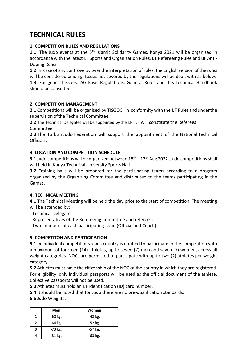# **TECHNICAL RULES**

#### **1. COMPETITION RULES AND REGULATIONS**

1.1. The Judo events at the 5<sup>th</sup> Islamic Solidarity Games, Konya 2021 will be organized in accordance with the latest IJF Sports and Organization Rules, IJF Refereeing Rules and IJF Anti-Doping Rules.

**1.2.** In case of any controversy over the interpretation of rules, the English version of the rules will be considered binding. Issues not covered by the regulations will be dealt with as below.

**1.3.** For general issues, ISG Basic Regulations, General Rules and this Technical Handbook should be consulted

#### **2. COMPETITION MANAGEMENT**

**2.1** Competitions will be organized by TISGOC, in conformity with the IJF Rules and underthe supervision of the Technical Committee.

**2.2** The Technical Delegates will be appointed by the IJF. IJF will constitute the Referees Committee.

**2.3** The Turkish Judo Federation will support the appointment of the National Technical **Officials** 

#### **3. LOCATION AND COMPEITTION SCHEDULE**

**3.1** Judo competitions will be organized between  $15<sup>th</sup> - 17<sup>th</sup>$  Aug 2022. Judo competitions shall will held in Konya Technical University Sports Hall.

**3.2** Training halls will be prepared for the participating teams according to a program organized by the Organizing Committee and distributed to the teams participating in the Games.

#### **4. TECHNICAL MEETING**

**4.1** The Technical Meeting will be held the day prior to the start of competition. The meeting will be attended by:

- Technical Delegate

- Representatives of the Refereeing Committee and referees.

- Two members of each participating team (Official and Coach).

#### **5. COMPETITON AND PARTICIPATION**

**5.1** In individual competitions, each country is entitled to participate in the competition with a maximum of fourteen (14) athletes, up to seven (7) men and seven (7) women, across all weight categories. NOCs are permitted to participate with up to two (2) athletes per weight category.

**5.2** Athletes must have the citizenship of the NOC of the country in which they are registered. For eligibility, only individual passports will be used as the official document of the athlete. Collective passports will not be used.

**5.3** Athletes must hold an IJF Identification (ID) card number.

**5.4** It should be noted that for Judo there are no pre-qualification standards.

**5.5** Judo Weights:

|                            | Men       | Women     |
|----------------------------|-----------|-----------|
|                            | $-60$ kg. | -48 kg.   |
| $\boldsymbol{\mathcal{P}}$ | $-66$ kg. | $-52$ kg. |
| 3                          | -73 kg.   | -57 kg.   |
|                            | $-81$ kg. | $-63$ kg. |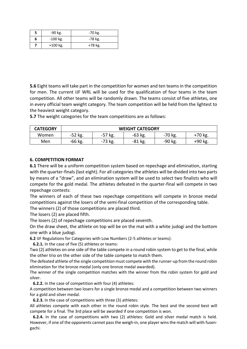|   | -90 kg.    | $-70$ kg. |
|---|------------|-----------|
| 6 | $-100$ kg. | -78 kg.   |
|   | $+100$ kg. | +78 kg.   |

**5.6** Eight teams will take part in the competition for women and ten teams in the competition for men. The current IJF WRL will be used for the qualification of four teams in the team competition. All other teams will be randomly drawn. The teams consist of five athletes, one in every official team weight category. The team competition will be held from the lightest to the heaviest weight category.

**5.7** The weight categories for the team competitions are as follows:

| <b>CATEGORY</b> | <b>WEIGHT CATEGORY</b> |         |         |           |           |
|-----------------|------------------------|---------|---------|-----------|-----------|
| Women           | $-52$ kg.              | -57 kg. | -63 kg. | $-70$ kg. | $+70$ kg. |
| Men             | -66 kg.                | -73 kg. | -81 kg. | -90 kg.   | +90 kg.   |

#### **6. COMPETITION FORMAT**

**6.1** There will be a uniform competition system based on repechage and elimination, starting with the quarter-finals(last eight). For all categories the athletes will be divided into two parts by means of a "draw", and an elimination system will be used to select two finalists who will compete for the gold medal. The athletes defeated in the quarter-final will compete in two repechage contests:

The winners of each of these two repechage competitions will compete in bronze medal competitions against the losers of the semi-final competition of the corresponding table.

The winners (2) of those competitions are placed third.

The losers (2) are placed fifth.

The losers (2) of repechage competitions are placed seventh.

On the draw sheet, the athlete on top will be on the mat with a white judogi and the bottom one with a blue judogi.

**6.2** IJF Regulations for Categories with Low Numbers (2-5 athletes or teams):

 **6.2.1.** In the case of five (5) athletes or teams:

Two (2) athletes on one side of the table compete in a round robin system to get to the final, while the other trio on the other side of the table compete to match them.

The defeated athlete of the single competition must compete with the runner-up from the round robin elimination for the bronze medal (only one bronze medal awarded).

The winner of the single competition matches with the winner from the robin system for gold and silver.

 **6.2.2.** In the case of competition with four (4) athletes:

A competition between two losers for a single bronze medal and a competition between two winners for a gold and silver medal.

 **6.2.3.** In the case of competitions with three (3) athletes:

All athletes compete with each other in the round robin style. The best and the second best will compete for a final. The 3rd place will be awarded if one competition is won.

 **6.2.4.** In the case of competitions with two (2) athletes: Gold and silver medal match is held. However, if one of the opponents cannot pass the weigh-in, one player wins the match will with fusengachi.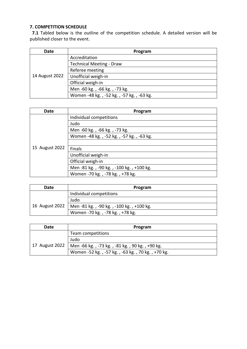#### **7. COMPETITION SCHEDULE**

 **7.1** Tabled below is the outline of the competition schedule. A detailed version will be published closer to the event.

| <b>Date</b>    | Program                                  |
|----------------|------------------------------------------|
|                | Accreditation                            |
|                | <b>Technical Meeting - Draw</b>          |
|                | Referee meeting                          |
| 14 August 2022 | Unofficial weigh-in                      |
|                | Official weigh-in                        |
|                | Men -60 kg., -66 kg., -73 kg.            |
|                | Women -48 kg., -52 kg., -57 kg., -63 kg. |

| Date           | Program                                  |
|----------------|------------------------------------------|
|                | Individual competitions                  |
|                | Judo                                     |
|                | Men -60 kg., -66 kg., -73 kg.            |
|                | Women -48 kg., -52 kg., -57 kg., -63 kg. |
|                |                                          |
| 15 August 2022 | <b>Finals</b>                            |
|                | Unofficial weigh-in                      |
|                | Official weigh-in                        |
|                | Men -81 kg., -90 kg., -100 kg., +100 kg. |
|                | Women -70 kg., -78 kg., +78 kg.          |

| Date           | Program                                  |
|----------------|------------------------------------------|
|                | Individual competitions                  |
|                | Judo                                     |
| 16 August 2022 | Men -81 kg., -90 kg., -100 kg., +100 kg. |
|                | Women -70 kg., -78 kg., +78 kg.          |

| Date           | Program                                          |  |
|----------------|--------------------------------------------------|--|
|                | Team competitions                                |  |
|                | Judo                                             |  |
| 17 August 2022 | Men -66 kg., -73 kg., -81 kg., 90 kg., +90 kg.   |  |
|                | Women -52 kg., -57 kg., -63 kg., 70 kg., +70 kg. |  |